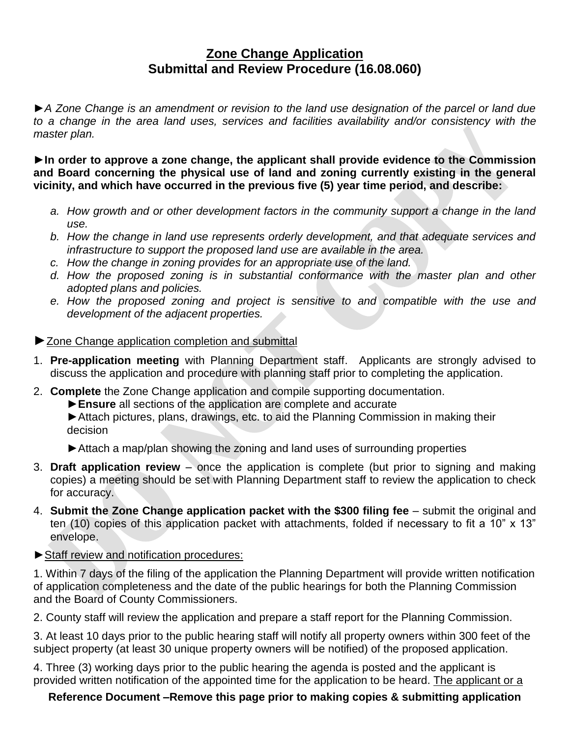## **Zone Change Application Submittal and Review Procedure (16.08.060)**

**►***A Zone Change is an amendment or revision to the land use designation of the parcel or land due*  to a change in the area land uses, services and facilities availability and/or consistency with the *master plan.*

**►In order to approve a zone change, the applicant shall provide evidence to the Commission and Board concerning the physical use of land and zoning currently existing in the general vicinity, and which have occurred in the previous five (5) year time period, and describe:**

- *a. How growth and or other development factors in the community support a change in the land use.*
- *b. How the change in land use represents orderly development, and that adequate services and infrastructure to support the proposed land use are available in the area.*
- *c. How the change in zoning provides for an appropriate use of the land.*
- *d. How the proposed zoning is in substantial conformance with the master plan and other adopted plans and policies.*
- *e. How the proposed zoning and project is sensitive to and compatible with the use and development of the adjacent properties.*

## ▶ Zone Change application completion and submittal

- 1. **Pre-application meeting** with Planning Department staff. Applicants are strongly advised to discuss the application and procedure with planning staff prior to completing the application.
- 2. **Complete** the Zone Change application and compile supporting documentation.
	- **►Ensure** all sections of the application are complete and accurate

► Attach pictures, plans, drawings, etc. to aid the Planning Commission in making their decision

**►**Attach a map/plan showing the zoning and land uses of surrounding properties

- 3. **Draft application review** once the application is complete (but prior to signing and making copies) a meeting should be set with Planning Department staff to review the application to check for accuracy.
- 4. **Submit the Zone Change application packet with the \$300 filing fee** submit the original and ten (10) copies of this application packet with attachments, folded if necessary to fit a 10" x 13" envelope.

## **►**Staff review and notification procedures:

1. Within 7 days of the filing of the application the Planning Department will provide written notification of application completeness and the date of the public hearings for both the Planning Commission and the Board of County Commissioners.

2. County staff will review the application and prepare a staff report for the Planning Commission.

3. At least 10 days prior to the public hearing staff will notify all property owners within 300 feet of the subject property (at least 30 unique property owners will be notified) of the proposed application.

4. Three (3) working days prior to the public hearing the agenda is posted and the applicant is provided written notification of the appointed time for the application to be heard. The applicant or a

## **Reference Document –Remove this page prior to making copies & submitting application**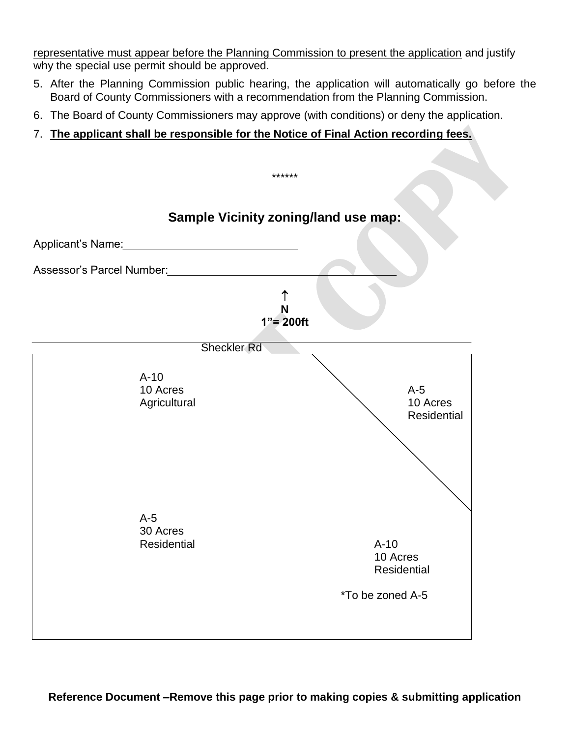representative must appear before the Planning Commission to present the application and justify why the special use permit should be approved.

- 5. After the Planning Commission public hearing, the application will automatically go before the Board of County Commissioners with a recommendation from the Planning Commission.
- 6. The Board of County Commissioners may approve (with conditions) or deny the application.
- 7. **The applicant shall be responsible for the Notice of Final Action recording fees.**

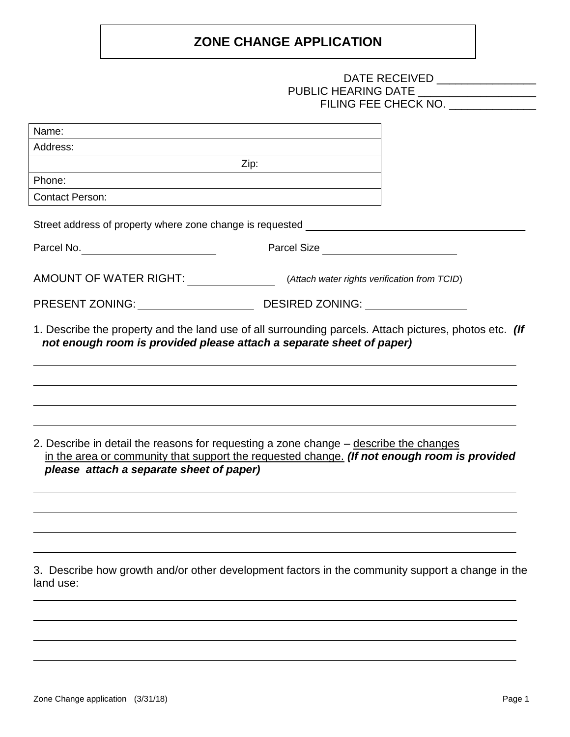# **ZONE CHANGE APPLICATION**

|                                                                                                                                                                                                                                  | PUBLIC HEARING DATE ____________________<br>FILING FEE CHECK NO.                                                 |  |
|----------------------------------------------------------------------------------------------------------------------------------------------------------------------------------------------------------------------------------|------------------------------------------------------------------------------------------------------------------|--|
| Name:                                                                                                                                                                                                                            | and the control of the control of the control of the control of the control of the control of the control of the |  |
| Address:                                                                                                                                                                                                                         |                                                                                                                  |  |
|                                                                                                                                                                                                                                  | Zip:                                                                                                             |  |
| Phone:                                                                                                                                                                                                                           |                                                                                                                  |  |
| <b>Contact Person:</b>                                                                                                                                                                                                           |                                                                                                                  |  |
| Street address of property where zone change is requested _______________________                                                                                                                                                |                                                                                                                  |  |
|                                                                                                                                                                                                                                  | Parcel Size                                                                                                      |  |
| AMOUNT OF WATER RIGHT: (Attach water rights verification from TCID)                                                                                                                                                              |                                                                                                                  |  |
|                                                                                                                                                                                                                                  |                                                                                                                  |  |
| not enough room is provided please attach a separate sheet of paper)                                                                                                                                                             |                                                                                                                  |  |
| 2. Describe in detail the reasons for requesting a zone change - describe the changes<br>in the area or community that support the requested change. (If not enough room is provided<br>please attach a separate sheet of paper) |                                                                                                                  |  |
| 3. Describe how growth and/or other development factors in the community support a change in the<br>land use:                                                                                                                    |                                                                                                                  |  |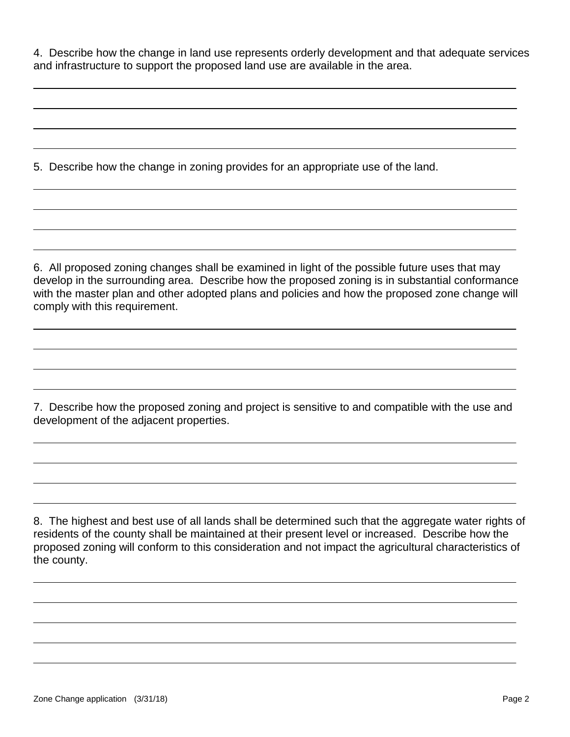4. Describe how the change in land use represents orderly development and that adequate services and infrastructure to support the proposed land use are available in the area.

5. Describe how the change in zoning provides for an appropriate use of the land.

6. All proposed zoning changes shall be examined in light of the possible future uses that may develop in the surrounding area. Describe how the proposed zoning is in substantial conformance with the master plan and other adopted plans and policies and how the proposed zone change will comply with this requirement.

7. Describe how the proposed zoning and project is sensitive to and compatible with the use and development of the adjacent properties.

8. The highest and best use of all lands shall be determined such that the aggregate water rights of residents of the county shall be maintained at their present level or increased. Describe how the proposed zoning will conform to this consideration and not impact the agricultural characteristics of the county.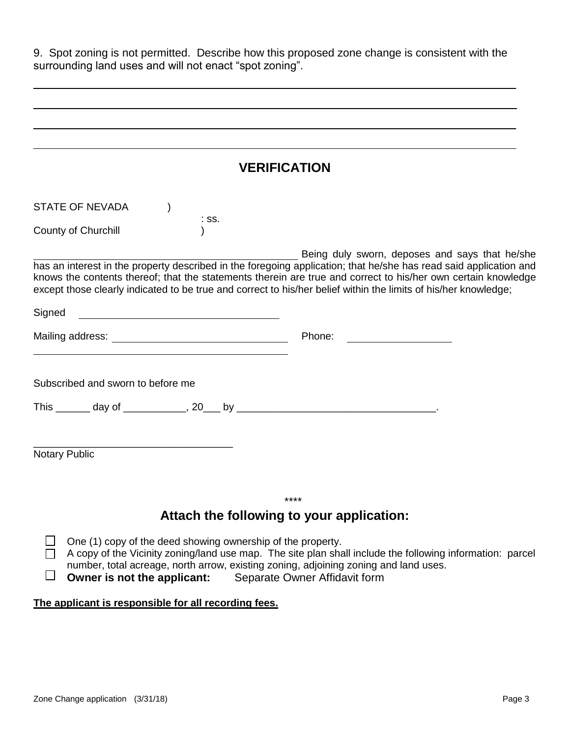| 9. Spot zoning is not permitted. Describe how this proposed zone change is consistent with the<br>surrounding land uses and will not enact "spot zoning".                                                                                                                                                                                                                                                                                                                |  |  |  |
|--------------------------------------------------------------------------------------------------------------------------------------------------------------------------------------------------------------------------------------------------------------------------------------------------------------------------------------------------------------------------------------------------------------------------------------------------------------------------|--|--|--|
|                                                                                                                                                                                                                                                                                                                                                                                                                                                                          |  |  |  |
|                                                                                                                                                                                                                                                                                                                                                                                                                                                                          |  |  |  |
|                                                                                                                                                                                                                                                                                                                                                                                                                                                                          |  |  |  |
| <b>VERIFICATION</b>                                                                                                                                                                                                                                                                                                                                                                                                                                                      |  |  |  |
| <b>STATE OF NEVADA</b>                                                                                                                                                                                                                                                                                                                                                                                                                                                   |  |  |  |
| $:$ SS.<br>County of Churchill                                                                                                                                                                                                                                                                                                                                                                                                                                           |  |  |  |
| Being duly sworn, deposes and says that he/she<br>has an interest in the property described in the foregoing application; that he/she has read said application and<br>knows the contents thereof; that the statements therein are true and correct to his/her own certain knowledge<br>except those clearly indicated to be true and correct to his/her belief within the limits of his/her knowledge;<br>Signed<br><u> 1980 - Johann Barbara, martxa alemaniar arg</u> |  |  |  |
| Phone:<br><u> 1989 - Johann Stoff, fransk konge</u>                                                                                                                                                                                                                                                                                                                                                                                                                      |  |  |  |
| Subscribed and sworn to before me                                                                                                                                                                                                                                                                                                                                                                                                                                        |  |  |  |
| <b>Notary Public</b>                                                                                                                                                                                                                                                                                                                                                                                                                                                     |  |  |  |
| ****<br>Attach the following to your application:                                                                                                                                                                                                                                                                                                                                                                                                                        |  |  |  |
| One (1) copy of the deed showing ownership of the property.<br>A copy of the Vicinity zoning/land use map. The site plan shall include the following information: parcel<br>number, total acreage, north arrow, existing zoning, adjoining zoning and land uses.<br>Owner is not the applicant:<br>Separate Owner Affidavit form                                                                                                                                         |  |  |  |

## **The applicant is responsible for all recording fees.**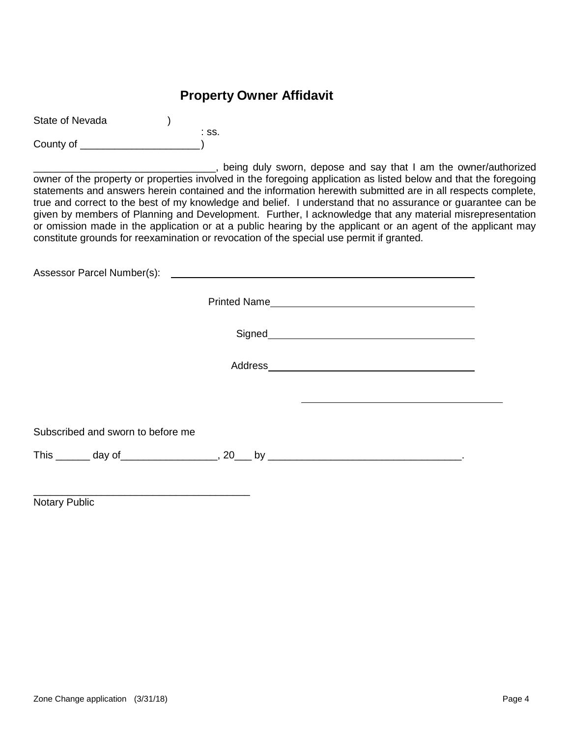## **Property Owner Affidavit**

| State of Nevada |       |
|-----------------|-------|
|                 | ∴ SS. |
| County of       |       |

\_\_\_\_\_, being duly sworn, depose and say that I am the owner/authorized owner of the property or properties involved in the foregoing application as listed below and that the foregoing statements and answers herein contained and the information herewith submitted are in all respects complete, true and correct to the best of my knowledge and belief. I understand that no assurance or guarantee can be given by members of Planning and Development. Further, I acknowledge that any material misrepresentation or omission made in the application or at a public hearing by the applicant or an agent of the applicant may constitute grounds for reexamination or revocation of the special use permit if granted.

Assessor Parcel Number(s): Printed Name Signed<br>
Signed<br>
Signed<br>
Signed<br>
Signed<br>
Signed<br>
Signed<br>
Signed<br>
Signed<br>
Signed<br>
Signed<br>
Signed<br>
Signed<br>
Signed<br>
Signed<br>
Signed<br>
Signed<br>
Signed<br>
Signed<br>
Signed<br>
Signed<br>
Signed<br>
Signed<br>
Signed<br>
Signed<br>
Signed<br>
Signed<br>
Signed Address Subscribed and sworn to before me This \_\_\_\_\_\_ day of\_\_\_\_\_\_\_\_\_\_\_\_\_\_\_\_\_, 20\_\_\_ by \_\_\_\_\_\_\_\_\_\_\_\_\_\_\_\_\_\_\_\_\_\_\_\_\_\_\_\_\_\_\_\_\_\_.

Notary Public

\_\_\_\_\_\_\_\_\_\_\_\_\_\_\_\_\_\_\_\_\_\_\_\_\_\_\_\_\_\_\_\_\_\_\_\_\_\_